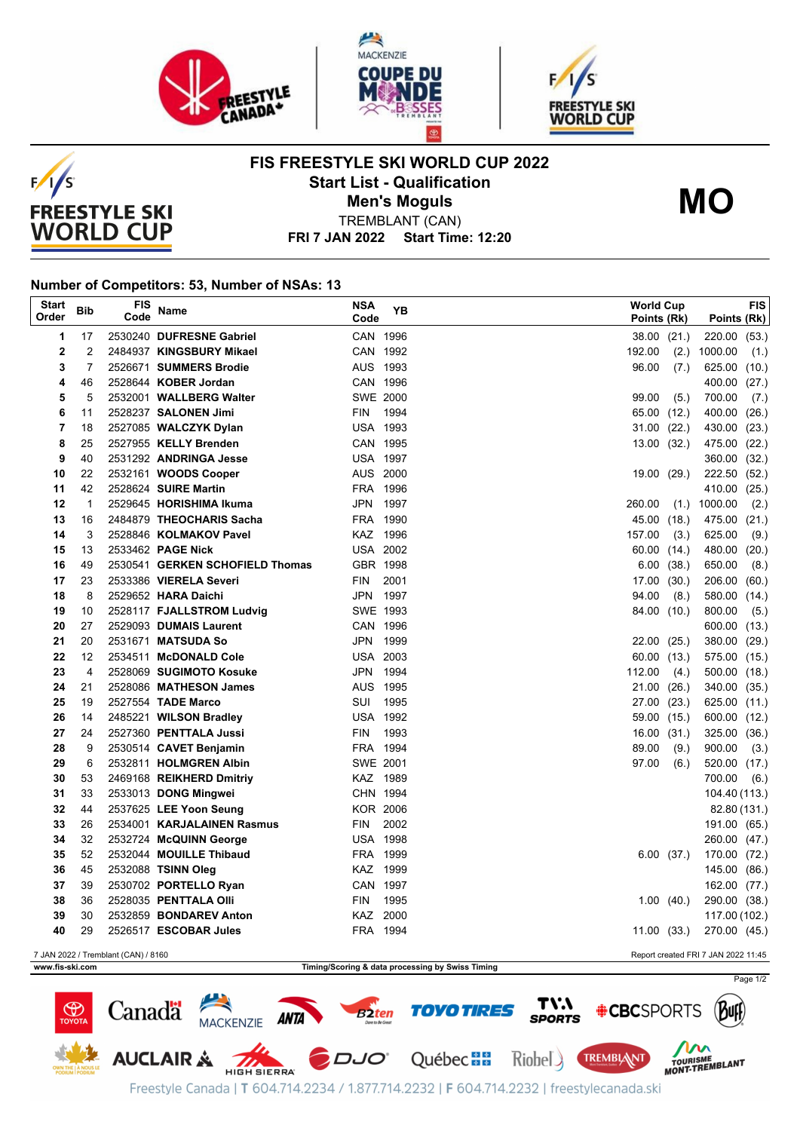





**FIS FREESTYLE SKI WORLD CUP 2022 Start List - Qualification**



**Men's Moguls MO**

**FRI 7 JAN 2022 Start Time: 12:20** TREMBLANT (CAN)

## **Number of Competitors: 53, Number of NSAs: 13**

| <b>Start</b><br>Order                                                      | <b>Bib</b>   | <b>FIS</b><br>Code | Name                                         | <b>NSA</b><br>Code   | YΒ   | <b>World Cup</b> | Points (Rk)    | Points (Rk)                  | <b>FIS</b> |
|----------------------------------------------------------------------------|--------------|--------------------|----------------------------------------------|----------------------|------|------------------|----------------|------------------------------|------------|
| 1                                                                          | 17           |                    | 2530240 DUFRESNE Gabriel                     | CAN 1996             |      |                  | 38.00 (21.)    | 220.00 (53.)                 |            |
| $\mathbf 2$                                                                | 2            |                    | 2484937 KINGSBURY Mikael                     | CAN 1992             |      | 192.00           | (2.)           | 1000.00                      | (1.)       |
| 3                                                                          | 7            |                    | 2526671 SUMMERS Brodie                       | AUS 1993             |      | 96.00            | (7.)           | 625.00 (10.)                 |            |
| 4                                                                          | 46           |                    | 2528644 KOBER Jordan                         | CAN 1996             |      |                  |                | 400.00 (27.)                 |            |
| 5                                                                          | 5            |                    | 2532001 WALLBERG Walter                      | SWE 2000             |      | 99.00            | (5.)           | 700.00                       | (7.)       |
| 6                                                                          | 11           |                    | 2528237 SALONEN Jimi                         | <b>FIN</b>           | 1994 | 65.00            | (12.)          | 400.00 (26.)                 |            |
| $\overline{7}$                                                             | 18           |                    | 2527085 WALCZYK Dylan                        | <b>USA 1993</b>      |      | 31.00            | (22.)          | 430.00 (23.)                 |            |
| 8                                                                          | 25           |                    | 2527955 KELLY Brenden                        | CAN 1995             |      |                  | 13.00 (32.)    | 475.00 (22.)                 |            |
| 9                                                                          | 40           |                    | 2531292 ANDRINGA Jesse                       | <b>USA 1997</b>      |      |                  |                | 360.00 (32.)                 |            |
| 10                                                                         | 22           |                    | 2532161 WOODS Cooper                         | AUS 2000             |      | 19.00            | (29.)          | 222.50 (52.)                 |            |
| 11                                                                         | 42           |                    | 2528624 SUIRE Martin                         | FRA 1996             |      |                  |                | 410.00 (25.)                 |            |
| 12                                                                         | $\mathbf{1}$ |                    | 2529645 HORISHIMA Ikuma                      | JPN 1997             |      | 260.00           | (1.)           | 1000.00                      | (2.)       |
| 13                                                                         | 16           |                    | 2484879 THEOCHARIS Sacha                     | FRA 1990             |      | 45.00            | (18.)          | 475.00 (21.)                 |            |
| 14                                                                         | 3            |                    | 2528846 KOLMAKOV Pavel                       | KAZ 1996             |      | 157.00           | (3.)           | 625.00                       | (9.)       |
| 15                                                                         | 13           |                    | 2533462 PAGE Nick                            | <b>USA 2002</b>      |      | 60.00            | (14.)          | 480.00 (20.)                 |            |
| 16                                                                         | 49           |                    | 2530541 GERKEN SCHOFIELD Thomas              | GBR 1998             |      | 6.00             | (38.)          | 650.00                       | (8.)       |
| 17                                                                         | 23           |                    | 2533386 VIERELA Severi                       | FIN                  | 2001 | 17.00            | (30.)          | 206.00 (60.)                 |            |
| 18                                                                         | 8            |                    | 2529652 HARA Daichi                          | JPN 1997             |      | 94.00            | (8.)           | 580.00 (14.)                 |            |
| 19                                                                         | 10           |                    | 2528117 FJALLSTROM Ludvig                    | SWE 1993             |      |                  | 84.00 (10.)    | 800.00                       | (5.)       |
| 20<br>21                                                                   | 27<br>20     |                    | 2529093 DUMAIS Laurent<br>2531671 MATSUDA So | CAN 1996<br>JPN 1999 |      |                  |                | 600.00 (13.)                 |            |
| 22                                                                         | 12           |                    | 2534511 McDONALD Cole                        | <b>USA 2003</b>      |      | 22.00<br>60.00   | (25.)<br>(13.) | 380.00 (29.)<br>575.00 (15.) |            |
| 23                                                                         | 4            |                    | 2528069 SUGIMOTO Kosuke                      | JPN 1994             |      | 112.00           | (4.)           | 500.00 (18.)                 |            |
| 24                                                                         | 21           |                    | 2528086 MATHESON James                       | AUS 1995             |      | 21.00            | (26.)          | 340.00 (35.)                 |            |
| 25                                                                         | 19           |                    | 2527554 TADE Marco                           | SUI                  | 1995 | 27.00            | (23.)          | 625.00 (11.)                 |            |
| 26                                                                         | 14           |                    | 2485221 WILSON Bradley                       | <b>USA 1992</b>      |      |                  | 59.00 (15.)    | 600.00 (12.)                 |            |
| 27                                                                         | 24           |                    | 2527360 PENTTALA Jussi                       | <b>FIN</b>           | 1993 | 16.00            | (31.)          | 325.00 (36.)                 |            |
| 28                                                                         | 9            |                    | 2530514 CAVET Benjamin                       | FRA 1994             |      | 89.00            | (9.)           | 900.00                       | (3.)       |
| 29                                                                         | 6            |                    | 2532811 HOLMGREN Albin                       | <b>SWE 2001</b>      |      | 97.00            | (6.)           | 520.00 (17.)                 |            |
| 30                                                                         | 53           |                    | 2469168 REIKHERD Dmitriy                     | KAZ 1989             |      |                  |                | 700.00                       | (6.)       |
| 31                                                                         | 33           |                    | 2533013 DONG Mingwei                         | CHN 1994             |      |                  |                | 104.40 (113.)                |            |
| 32                                                                         | 44           |                    | 2537625 LEE Yoon Seung                       | <b>KOR 2006</b>      |      |                  |                | 82.80 (131.)                 |            |
| 33                                                                         | 26           |                    | 2534001 KARJALAINEN Rasmus                   | FIN                  | 2002 |                  |                | 191.00 (65.)                 |            |
| 34                                                                         | 32           |                    | 2532724 McQUINN George                       | <b>USA 1998</b>      |      |                  |                | 260.00 (47.)                 |            |
| 35                                                                         | 52           |                    | 2532044 MOUILLE Thibaud                      | FRA 1999             |      |                  | 6.00(37.)      | 170.00 (72.)                 |            |
| 36                                                                         | 45           |                    | 2532088 TSINN Oleg                           | KAZ 1999             |      |                  |                | 145.00 (86.)                 |            |
| 37                                                                         | 39           |                    | 2530702 PORTELLO Ryan                        | CAN 1997             |      |                  |                | 162.00 (77.)                 |            |
| 38                                                                         | 36           |                    | 2528035 PENTTALA Olli                        | <b>FIN</b>           | 1995 |                  | 1.00(40.)      | 290.00 (38.)                 |            |
| 39                                                                         | 30           |                    | 2532859 BONDAREV Anton                       | KAZ 2000             |      |                  |                | 117.00 (102.)                |            |
| 40                                                                         | 29           |                    | 2526517 ESCOBAR Jules                        | FRA 1994             |      |                  | 11.00 (33.)    | 270.00 (45.)                 |            |
| 7 JAN 2022 / Tremblant (CAN) / 8160<br>Report created FRI 7 JAN 2022 11:45 |              |                    |                                              |                      |      |                  |                |                              |            |

**www.fis-ski.com Timing/Scoring & data processing by Swiss Timing**